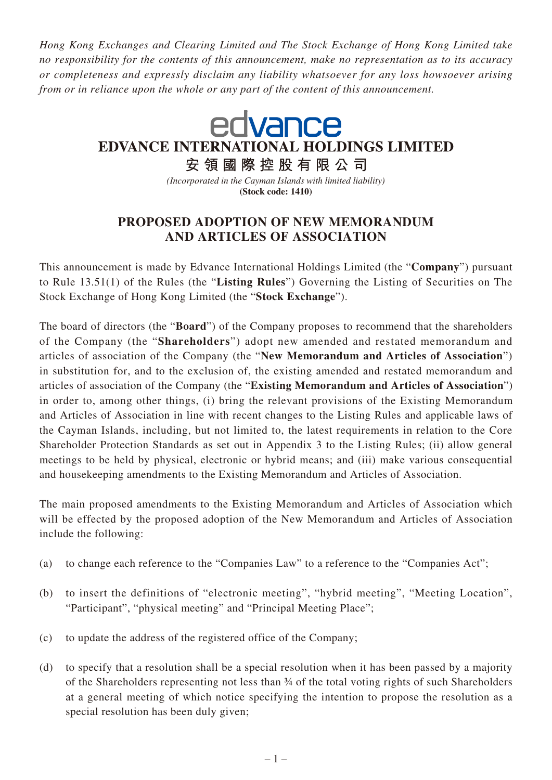*Hong Kong Exchanges and Clearing Limited and The Stock Exchange of Hong Kong Limited take no responsibility for the contents of this announcement, make no representation as to its accuracy or completeness and expressly disclaim any liability whatsoever for any loss howsoever arising from or in reliance upon the whole or any part of the content of this announcement.*

## edvance EDVANCE INTERNATIONAL HOLDINGS LIMITED 安領國際控股有限公司 *(Incorporated in the Cayman Islands with limited liability)* **(Stock code: 1410)**

## **PROPOSED ADOPTION OF NEW MEMORANDUM AND ARTICLES OF ASSOCIATION**

This announcement is made by Edvance International Holdings Limited (the "**Company**") pursuant to Rule 13.51(1) of the Rules (the "**Listing Rules**") Governing the Listing of Securities on The Stock Exchange of Hong Kong Limited (the "**Stock Exchange**").

The board of directors (the "**Board**") of the Company proposes to recommend that the shareholders of the Company (the "**Shareholders**") adopt new amended and restated memorandum and articles of association of the Company (the "**New Memorandum and Articles of Association**") in substitution for, and to the exclusion of, the existing amended and restated memorandum and articles of association of the Company (the "**Existing Memorandum and Articles of Association**") in order to, among other things, (i) bring the relevant provisions of the Existing Memorandum and Articles of Association in line with recent changes to the Listing Rules and applicable laws of the Cayman Islands, including, but not limited to, the latest requirements in relation to the Core Shareholder Protection Standards as set out in Appendix 3 to the Listing Rules; (ii) allow general meetings to be held by physical, electronic or hybrid means; and (iii) make various consequential and housekeeping amendments to the Existing Memorandum and Articles of Association.

The main proposed amendments to the Existing Memorandum and Articles of Association which will be effected by the proposed adoption of the New Memorandum and Articles of Association include the following:

- (a) to change each reference to the "Companies Law" to a reference to the "Companies Act";
- (b) to insert the definitions of "electronic meeting", "hybrid meeting", "Meeting Location", "Participant", "physical meeting" and "Principal Meeting Place";
- (c) to update the address of the registered office of the Company;
- (d) to specify that a resolution shall be a special resolution when it has been passed by a majority of the Shareholders representing not less than ¾ of the total voting rights of such Shareholders at a general meeting of which notice specifying the intention to propose the resolution as a special resolution has been duly given;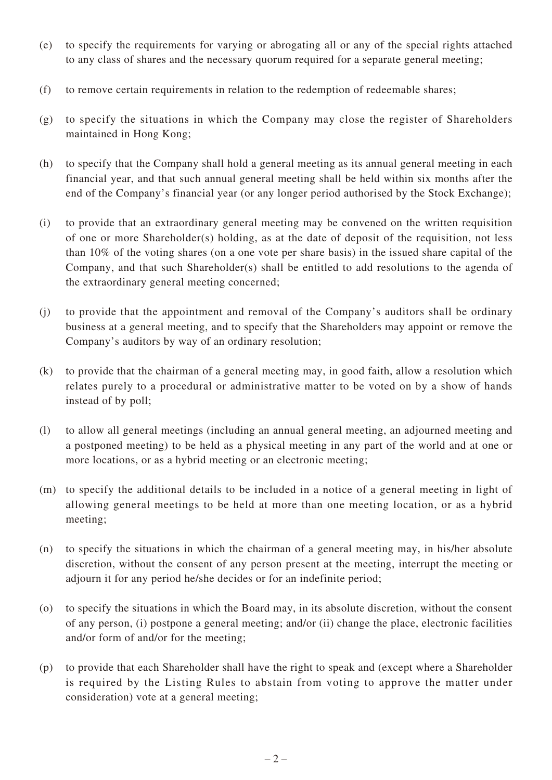- (e) to specify the requirements for varying or abrogating all or any of the special rights attached to any class of shares and the necessary quorum required for a separate general meeting;
- (f) to remove certain requirements in relation to the redemption of redeemable shares;
- (g) to specify the situations in which the Company may close the register of Shareholders maintained in Hong Kong;
- (h) to specify that the Company shall hold a general meeting as its annual general meeting in each financial year, and that such annual general meeting shall be held within six months after the end of the Company's financial year (or any longer period authorised by the Stock Exchange);
- (i) to provide that an extraordinary general meeting may be convened on the written requisition of one or more Shareholder(s) holding, as at the date of deposit of the requisition, not less than 10% of the voting shares (on a one vote per share basis) in the issued share capital of the Company, and that such Shareholder(s) shall be entitled to add resolutions to the agenda of the extraordinary general meeting concerned;
- (j) to provide that the appointment and removal of the Company's auditors shall be ordinary business at a general meeting, and to specify that the Shareholders may appoint or remove the Company's auditors by way of an ordinary resolution;
- (k) to provide that the chairman of a general meeting may, in good faith, allow a resolution which relates purely to a procedural or administrative matter to be voted on by a show of hands instead of by poll;
- (l) to allow all general meetings (including an annual general meeting, an adjourned meeting and a postponed meeting) to be held as a physical meeting in any part of the world and at one or more locations, or as a hybrid meeting or an electronic meeting;
- (m) to specify the additional details to be included in a notice of a general meeting in light of allowing general meetings to be held at more than one meeting location, or as a hybrid meeting;
- (n) to specify the situations in which the chairman of a general meeting may, in his/her absolute discretion, without the consent of any person present at the meeting, interrupt the meeting or adjourn it for any period he/she decides or for an indefinite period;
- (o) to specify the situations in which the Board may, in its absolute discretion, without the consent of any person, (i) postpone a general meeting; and/or (ii) change the place, electronic facilities and/or form of and/or for the meeting;
- (p) to provide that each Shareholder shall have the right to speak and (except where a Shareholder is required by the Listing Rules to abstain from voting to approve the matter under consideration) vote at a general meeting;